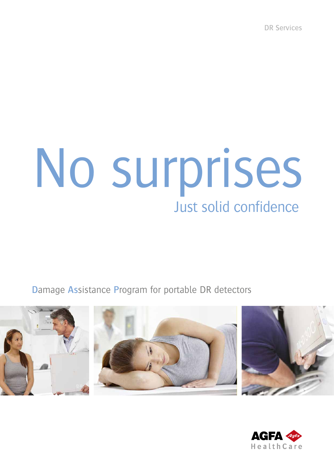**DR Services** 

# No surprises Just solid confidence

Damage Assistance Program for portable DR detectors



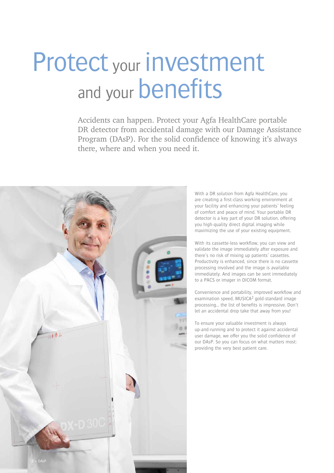### Protect your investment and your **benefits**

Accidents can happen. Protect your Agfa HealthCare portable DR detector from accidental damage with our Damage Assistance Program (DAsP). For the solid confidence of knowing it's always there, where and when you need it.



With a DR solution from Agfa HealthCare, you are creating a first-class working environment at your facility and enhancing your patients' feeling of comfort and peace of mind. Your portable DR detector is a key part of your DR solution, offering you high-quality direct digital imaging while maximizing the use of your existing equipment.

With its cassette-less workflow, you can view and validate the image immediately after exposure and there's no risk of mixing up patients' cassettes. Productivity is enhanced, since there is no cassette processing involved and the image is available immediately. And images can be sent immediately to a PACS or imager in DICOM format.

Convenience and portability, improved workflow and examination speed, MUSICA<sup>2</sup> gold-standard image processing… the list of benefits is impressive. Don't let an accidental drop take that away from you!

To ensure your valuable investment is always up-and-running and to protect it against accidental user damage, we offer you the solid confidence of our DAsP. So you can focus on what matters most: providing the very best patient care.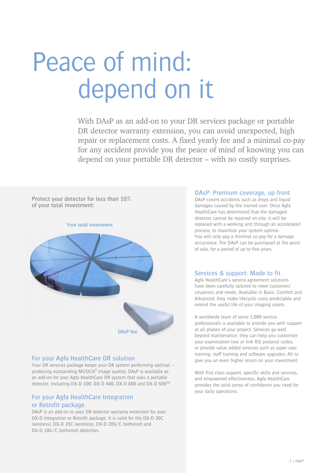## Peace of mind: depend on it

With DAsP as an add-on to your DR services package or portable DR detector warranty extension, you can avoid unexpected, high repair or replacement costs. A fixed yearly fee and a minimal co-pay for any accident provide you the peace of mind of knowing you can depend on your portable DR detector – with no costly surprises.

Protect your detector for less than 10% of your total investment:



#### For your Agfa HealthCare DR solution

Your DR services package keeps your DR system performing optimal – producing outstanding MUSICA2 image quality. DAsP is available as an add-on for your Agfa HealthCare DR system that uses a portable detector, including DX-D 100, DX-D 400, DX-D 600 and DX-D 500*(n)*.

#### For your Agfa HealthCare Integration or Retrofit package

DAsP is an add-on to your DR detector warranty extension for your DX-D Integration or Retrofit package. It is valid for the DX-D 30C (wireless), DX-D 35C (wireless), DX-D 20G/C (tethered) and DX-D 10G/C (tethered) detectors.

#### DAsP: Premium coverage, up-front

DAsP covers accidents such as drops and liquid damages caused by the trained user. Once Agfa HealthCare has determined that the damaged detector cannot be repaired on-site, it will be replaced with a working unit through an accelerated process, to maximize your system uptime. You will only pay a minimal co-pay for a damage occurrence. The DAsP can be purchased at the point of sale, for a period of up to five years.

#### Services & support: Made to fit

Agfa HealthCare's service agreement solutions have been carefully tailored to meet customers' situations and needs. Available in Basic, Comfort and Advanced, they make lifecycle costs predictable and extend the useful life of your imaging assets.

A worldwide team of some 1,000 service professionals is available to provide you with support at all phases of your project. Services go well beyond maintenance: they can help you customize your examination tree or link RIS protocol codes, or provide value added services such as super user training, staff training and software upgrades. All to give you an even higher return on your investment.

With first class support, specific skills and services, and empowered effectiveness, Agfa HealthCare provides the solid sense of confidence you need for your daily operations.